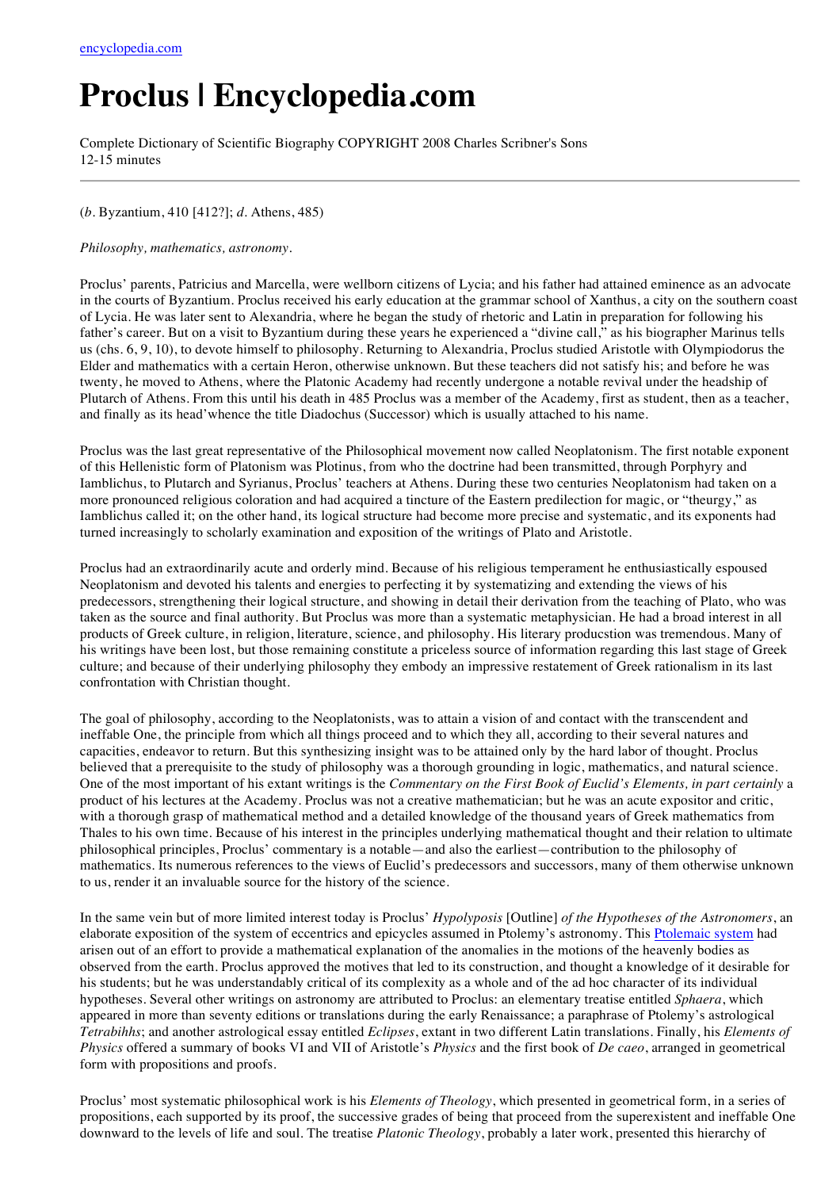## **Proclus | Encyclopedia.com**

Complete Dictionary of Scientific Biography COPYRIGHT 2008 Charles Scribner's Sons 12-15 minutes

## (*b.* Byzantium, 410 [412?]; *d.* Athens, 485)

## *Philosophy, mathematics, astronomy.*

Proclus' parents, Patricius and Marcella, were wellborn citizens of Lycia; and his father had attained eminence as an advocate in the courts of Byzantium. Proclus received his early education at the grammar school of Xanthus, a city on the southern coast of Lycia. He was later sent to Alexandria, where he began the study of rhetoric and Latin in preparation for following his father's career. But on a visit to Byzantium during these years he experienced a "divine call," as his biographer Marinus tells us (chs. 6, 9, 10), to devote himself to philosophy. Returning to Alexandria, Proclus studied Aristotle with Olympiodorus the Elder and mathematics with a certain Heron, otherwise unknown. But these teachers did not satisfy his; and before he was twenty, he moved to Athens, where the Platonic Academy had recently undergone a notable revival under the headship of Plutarch of Athens. From this until his death in 485 Proclus was a member of the Academy, first as student, then as a teacher, and finally as its head'whence the title Diadochus (Successor) which is usually attached to his name.

Proclus was the last great representative of the Philosophical movement now called Neoplatonism. The first notable exponent of this Hellenistic form of Platonism was Plotinus, from who the doctrine had been transmitted, through Porphyry and Iamblichus, to Plutarch and Syrianus, Proclus' teachers at Athens. During these two centuries Neoplatonism had taken on a more pronounced religious coloration and had acquired a tincture of the Eastern predilection for magic, or "theurgy," as Iamblichus called it; on the other hand, its logical structure had become more precise and systematic, and its exponents had turned increasingly to scholarly examination and exposition of the writings of Plato and Aristotle.

Proclus had an extraordinarily acute and orderly mind. Because of his religious temperament he enthusiastically espoused Neoplatonism and devoted his talents and energies to perfecting it by systematizing and extending the views of his predecessors, strengthening their logical structure, and showing in detail their derivation from the teaching of Plato, who was taken as the source and final authority. But Proclus was more than a systematic metaphysician. He had a broad interest in all products of Greek culture, in religion, literature, science, and philosophy. His literary producstion was tremendous. Many of his writings have been lost, but those remaining constitute a priceless source of information regarding this last stage of Greek culture; and because of their underlying philosophy they embody an impressive restatement of Greek rationalism in its last confrontation with Christian thought.

The goal of philosophy, according to the Neoplatonists, was to attain a vision of and contact with the transcendent and ineffable One, the principle from which all things proceed and to which they all, according to their several natures and capacities, endeavor to return. But this synthesizing insight was to be attained only by the hard labor of thought. Proclus believed that a prerequisite to the study of philosophy was a thorough grounding in logic, mathematics, and natural science. One of the most important of his extant writings is the *Commentary on the First Book of Euclid's Elements, in part certainly* a product of his lectures at the Academy. Proclus was not a creative mathematician; but he was an acute expositor and critic, with a thorough grasp of mathematical method and a detailed knowledge of the thousand years of Greek mathematics from Thales to his own time. Because of his interest in the principles underlying mathematical thought and their relation to ultimate philosophical principles, Proclus' commentary is a notable—and also the earliest—contribution to the philosophy of mathematics. Its numerous references to the views of Euclid's predecessors and successors, many of them otherwise unknown to us, render it an invaluable source for the history of the science.

In the same vein but of more limited interest today is Proclus' *Hypolyposis* [Outline] *of the Hypotheses of the Astronomers*, an elaborate exposition of the system of eccentrics and epicycles assumed in Ptolemy's astronomy. This Ptolemaic system had arisen out of an effort to provide a mathematical explanation of the anomalies in the motions of the heavenly bodies as observed from the earth. Proclus approved the motives that led to its construction, and thought a knowledge of it desirable for his students; but he was understandably critical of its complexity as a whole and of the ad hoc character of its individual hypotheses. Several other writings on astronomy are attributed to Proclus: an elementary treatise entitled *Sphaera*, which appeared in more than seventy editions or translations during the early Renaissance; a paraphrase of Ptolemy's astrological *Tetrabihhs*; and another astrological essay entitled *Eclipses*, extant in two different Latin translations. Finally, his *Elements of Physics* offered a summary of books VI and VII of Aristotle's *Physics* and the first book of *De caeo*, arranged in geometrical form with propositions and proofs.

Proclus' most systematic philosophical work is his *Elements of Theology*, which presented in geometrical form, in a series of propositions, each supported by its proof, the successive grades of being that proceed from the superexistent and ineffable One downward to the levels of life and soul. The treatise *Platonic Theology*, probably a later work, presented this hierarchy of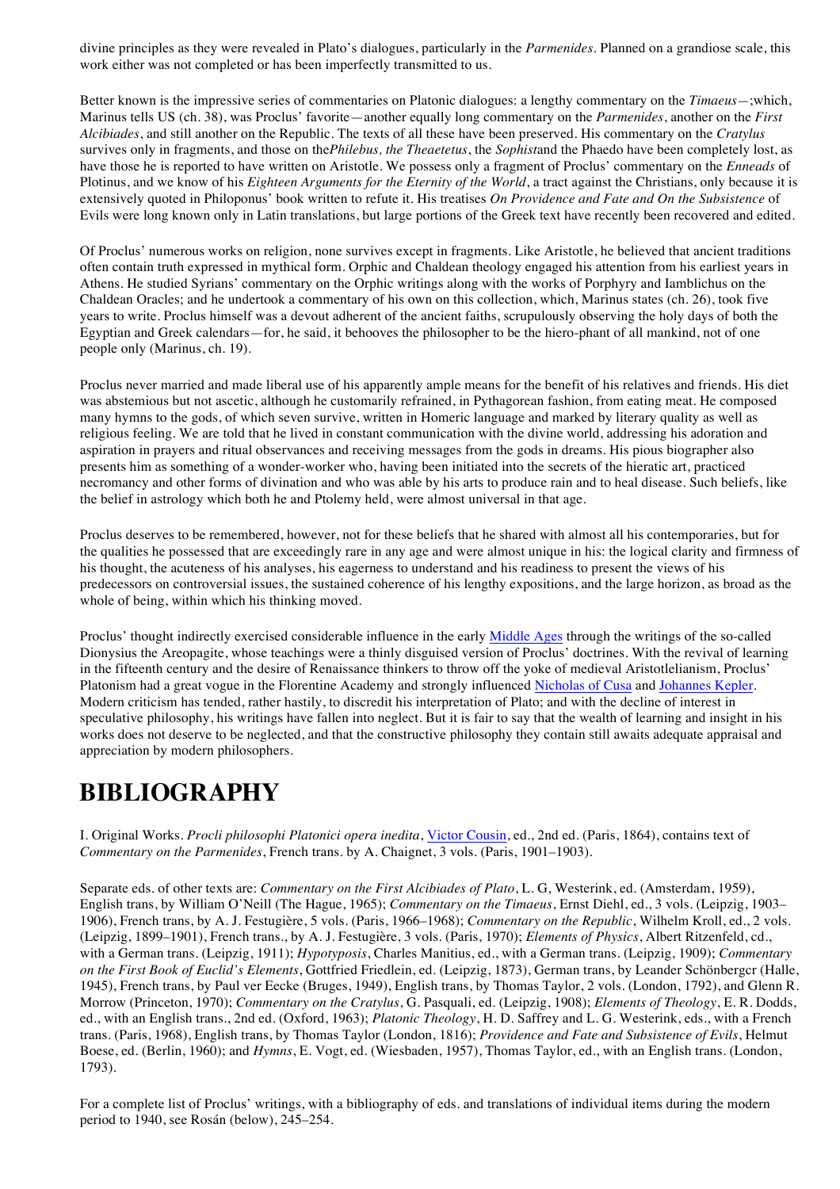divine principles as they were revealed in Plato's dialogues, particularly in the *Parmenides*. Planned on a grandiose scale, this work either was not completed or has been imperfectly transmitted to us.

Better known is the impressive series of commentaries on Platonic dialogues: a lengthy commentary on the *Timaeus—*;which, Marinus tells US (ch. 38), was Proclus' favorite—another equally long commentary on the *Parmenides*, another on the *First Alcibiades*, and still another on the Republic. The texts of all these have been preserved. His commentary on the *Cratylus* survives only in fragments, and those on the*Philebus, the Theaetetus*, the *Sophist*and the Phaedo have been completely lost, as have those he is reported to have written on Aristotle. We possess only a fragment of Proclus' commentary on the *Enneads* of Plotinus, and we know of his *Eighteen Arguments for the Eternity of the World*, a tract against the Christians, only because it is extensively quoted in Philoponus' book written to refute it. His treatises *On Providence and Fate and On the Subsistence* of Evils were long known only in Latin translations, but large portions of the Greek text have recently been recovered and edited.

Of Proclus' numerous works on religion, none survives except in fragments. Like Aristotle, he believed that ancient traditions often contain truth expressed in mythical form. Orphic and Chaldean theology engaged his attention from his earliest years in Athens. He studied Syrians' commentary on the Orphic writings along with the works of Porphyry and Iamblichus on the Chaldean Oracles; and he undertook a commentary of his own on this collection, which, Marinus states (ch. 26), took five years to write. Proclus himself was a devout adherent of the ancient faiths, scrupulously observing the holy days of both the Egyptian and Greek calendars—for, he said, it behooves the philosopher to be the hiero-phant of all mankind, not of one people only (Marinus, ch. 19).

Proclus never married and made liberal use of his apparently ample means for the benefit of his relatives and friends. His diet was abstemious but not ascetic, although he customarily refrained, in Pythagorean fashion, from eating meat. He composed many hymns to the gods, of which seven survive, written in Homeric language and marked by literary quality as well as religious feeling. We are told that he lived in constant communication with the divine world, addressing his adoration and aspiration in prayers and ritual observances and receiving messages from the gods in dreams. His pious biographer also presents him as something of a wonder-worker who, having been initiated into the secrets of the hieratic art, practiced necromancy and other forms of divination and who was able by his arts to produce rain and to heal disease. Such beliefs, like the belief in astrology which both he and Ptolemy held, were almost universal in that age.

Proclus deserves to be remembered, however, not for these beliefs that he shared with almost all his contemporaries, but for the qualities he possessed that are exceedingly rare in any age and were almost unique in his: the logical clarity and firmness of his thought, the acuteness of his analyses, his eagerness to understand and his readiness to present the views of his predecessors on controversial issues, the sustained coherence of his lengthy expositions, and the large horizon, as broad as the whole of being, within which his thinking moved.

Proclus' thought indirectly exercised considerable influence in the early Middle Ages through the writings of the so-called Dionysius the Areopagite, whose teachings were a thinly disguised version of Proclus' doctrines. With the revival of learning in the fifteenth century and the desire of Renaissance thinkers to throw off the yoke of medieval Aristotlelianism, Proclus' Platonism had a great vogue in the Florentine Academy and strongly influenced Nicholas of Cusa and Johannes Kepler. Modern criticism has tended, rather hastily, to discredit his interpretation of Plato; and with the decline of interest in speculative philosophy, his writings have fallen into neglect. But it is fair to say that the wealth of learning and insight in his works does not deserve to be neglected, and that the constructive philosophy they contain still awaits adequate appraisal and appreciation by modern philosophers.

## **BIBLIOGRAPHY**

I. Original Works. *Procli philosophi Platonici opera inedita*, Victor Cousin, ed., 2nd ed. (Paris, 1864), contains text of *Commentary on the Parmenides*, French trans. by A. Chaignet, 3 vols. (Paris, 1901–1903).

Separate eds. of other texts are: *Commentary on the First Alcibiades of Plato*, L. G, Westerink, ed. (Amsterdam, 1959), English trans, by William O'Neill (The Hague, 1965); *Commentary on the Timaeus*, Ernst Diehl, ed., 3 vols. (Leipzig, 1903– 1906), French trans, by A. J. Festugière, 5 vols. (Paris, 1966–1968); *Commentary on the Republic*, Wilhelm Kroll, ed., 2 vols. (Leipzig, 1899–1901), French trans., by A. J. Festugière, 3 vols. (Paris, 1970); *Elements of Physics*, Albert Ritzenfeld, cd., with a German trans. (Leipzig, 1911); *Hypotyposis*, Charles Manitius, ed., with a German trans. (Leipzig, 1909); *Commentary on the First Book of Euclid's Elements*, Gottfried Friedlein, ed. (Leipzig, 1873), German trans, by Leander Schönbergcr (Halle, 1945), French trans, by Paul ver Eecke (Bruges, 1949), English trans, by Thomas Taylor, 2 vols. (London, 1792), and Glenn R. Morrow (Princeton, 1970); *Commentary on the Cratylus*, G. Pasquali, ed. (Leipzig, 1908); *Elements of Theology*, E. R. Dodds, ed., with an English trans., 2nd ed. (Oxford, 1963); *Platonic Theology*, H. D. Saffrey and L. G. Westerink, eds., with a French trans. (Paris, 1968), English trans, by Thomas Taylor (London, 1816); *Providence and Fate and Subsistence of Evils*, Helmut Boese, ed. (Berlin, 1960); and *Hymns*, E. Vogt, ed. (Wiesbaden, 1957), Thomas Taylor, ed., with an English trans. (London, 1793).

For a complete list of Proclus' writings, with a bibliography of eds. and translations of individual items during the modern period to 1940, see Rosán (below), 245–254.